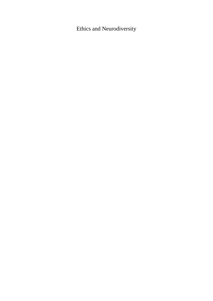Ethics and Neurodiversity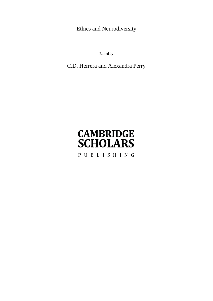Ethics and Neurodiversity

Edited by

C.D. Herrera and Alexandra Perry

# **CAMBRIDGE SCHOLARS** PUBLISHING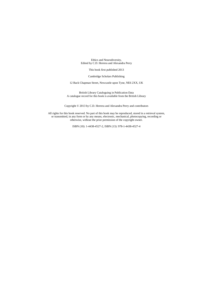Ethics and Neurodiversity, Edited by C.D. Herrera and Alexandra Perry

This book first published 2013

Cambridge Scholars Publishing

12 Back Chapman Street, Newcastle upon Tyne, NE6 2XX, UK

British Library Cataloguing in Publication Data A catalogue record for this book is available from the British Library

Copyright © 2013 by C.D. Herrera and Alexandra Perry and contributors

All rights for this book reserved. No part of this book may be reproduced, stored in a retrieval system, or transmitted, in any form or by any means, electronic, mechanical, photocopying, recording or otherwise, without the prior permission of the copyright owner.

ISBN (10): 1-4438-4527-2, ISBN (13): 978-1-4438-4527-4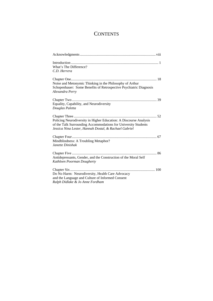# **CONTENTS**

| What's The Difference?<br>C.D. Herrera                                                                                                                                                       |
|----------------------------------------------------------------------------------------------------------------------------------------------------------------------------------------------|
| Noise and Metonymic Thinking in the Philosophy of Arthur<br>Schopenhauer: Some Benefits of Retrospective Psychiatric Diagnosis<br>Alexandra Perry                                            |
| Equality, Capability, and Neurodiversity<br>Douglas Paletta                                                                                                                                  |
| Policing Neurodiversity in Higher Education: A Discourse Analysis<br>of the Talk Surrounding Accommodations for University Students<br>Jessica Nina Lester, Hannah Dostal, & Rachael Gabriel |
| Mindblindness: A Troubling Metaphor?<br>Janette Dinishak                                                                                                                                     |
| Antidepressants, Gender, and the Construction of the Moral Self<br>Kathleen Poorman Dougherty                                                                                                |
| Do No Harm: Neurodiversity, Health Care Advocacy<br>and the Language and Culture of Informed Consent<br>Ralph Didlake & Jo Anne Fordham                                                      |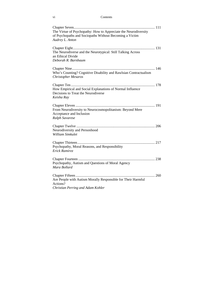#### vi Contents

| The Virtue of Psychopathy: How to Appreciate the Neurodiversity<br>of Psychopaths and Sociopaths Without Becoming a Victim<br>Audrey L. Anton |
|-----------------------------------------------------------------------------------------------------------------------------------------------|
| The Neurodiverse and the Neurotypical: Still Talking Across<br>an Ethical Divide<br>Deborah R. Barnbaum                                       |
| Who's Counting? Cognitive Disability and Rawlsian Contractualism<br><b>Christopher Mesaros</b>                                                |
| How Empirical and Social Explanations of Normal Influence<br>Decisions to Treat the Neurodiverse<br>Keisha Ray                                |
| From Neurodiversity to Neurocosmopolitanism: Beyond Mere<br>Acceptance and Inclusion<br>Ralph Savarese                                        |
| Neurodiversity and Personhood<br>William Simkulet                                                                                             |
| Psychopathy, Moral Reasons, and Responsibility<br><b>Erick Ramirez</b>                                                                        |
| Psychopathy, Autism and Questions of Moral Agency<br>Mara Bollard                                                                             |
| Are People with Autism Morally Responsible for Their Harmful<br>Actions?<br>Christian Perring and Adam Kohler                                 |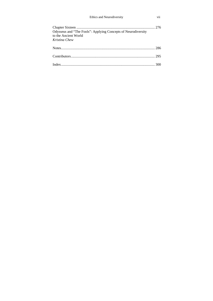| Odysseus and "The Fools": Applying Concepts of Neurodiversity<br>to the Ancient World |  |
|---------------------------------------------------------------------------------------|--|
| Kristina Chew                                                                         |  |
|                                                                                       |  |
|                                                                                       |  |
|                                                                                       |  |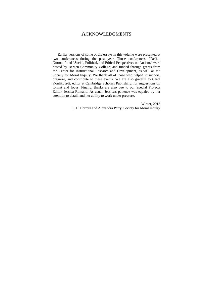# ACKNOWLEDGMENTS

Earlier versions of some of the essays in this volume were presented at two conferences during the past year. Those conferences, "Define Normal," and "Social, Political, and Ethical Perspectives on Autism," were hosted by Bergen Community College, and funded through grants from the Center for Instructional Research and Development, as well as the Society for Moral Inquiry. We thank all of those who helped to support, organize, and contribute to these events. We are also grateful to Carol Koulikourdi, editor at Cambridge Scholars Publishing, for suggestions on format and focus. Finally, thanks are also due to our Special Projects Editor, Jessica Romano. As usual, Jessica's patience was equaled by her attention to detail, and her ability to work under pressure.

> Winter, 2013 C. D. Herrera and Alexandra Perry, Society for Moral Inquiry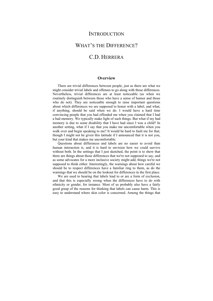# **INTRODUCTION**

# WHAT'S THE DIFFERENCE?

# C.D. HERRERA

### **Overview**

There are trivial differences between people, just as there are what we might consider trivial labels and offenses to go along with those differences. Nevertheless, trivial differences are at least noticeable (as when we routinely distinguish between those who have a sense of humor and those who do not). They are noticeable enough to raise important questions about which differences we are supposed to honor with a label, and what, if anything, should be said when we do. I would have a hard time convincing people that you had offended me when you claimed that I had a bad memory. We typically make light of such things. But what if my bad memory is due to some disability that I have had since I was a child? In another setting, what if I say that you make me uncomfortable when you walk over and begin speaking to me? It would be hard to fault me for that, though I might not be given this latitude if I announced that it is not you, but your kind that makes me uncomfortable.

Questions about differences and labels are no easier to avoid than human interaction is, and it is hard to envision how we could survive without both. In the settings that I just sketched, the point is to show that there are things about those differences that we're not supposed to say, and as some advocates for a more inclusive society might add, things we're not supposed to think either. Interestingly, the warnings about how careful we should be to respect differences have a familiar ring to them, as do the warnings that we should be on the lookout for differences in the first place.

We are used to hearing that labels lead to or are a form of exclusion, and that this is especially wrong when the differences have to do with ethnicity or gender, for instance. Most of us probably also have a fairly good grasp of the reasons for thinking that labels can cause harm. This is easy to understand where skin color is concerned. Among the things that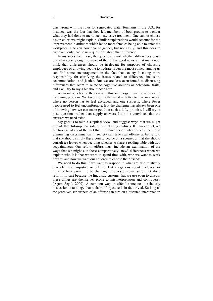#### 2 Introduction

was wrong with the rules for segregated water fountains in the U.S., for instance, was the fact that they left members of both groups to wonder what they had done to merit such exclusive treatment. One cannot choose a skin color, we might explain. Similar explanations would account for the improvement in attitudes which led to more females being able to enter the workplace. One can now change gender, but not easily, and this does in any event only lead to new questions about that difference.

In instances like these, the question is not whether differences exist, but what society ought to make of them. The good news is that many now think that differences should be irrelevant for purposes of choosing employees or allowing people to hydrate. Even the most cynical among us can find some encouragement in the fact that society is taking more responsibility for clarifying the issues related to difference, inclusion, accommodation, and justice. But we are less accustomed to discussing differences that seem to relate to cognitive abilities or behavioral traits, and I will try to say a bit about those here.

As an introduction to the essays in this anthology, I want to address the following problem. We take it on faith that it is better to live in a world where no person has to feel excluded, and one suspects, where fewer people need to feel uncomfortable. But the challenge has always been one of knowing how we can make good on such a lofty promise. I will try to pose questions rather than supply answers. I am not convinced that the answers we need exist.

My goal is to take a skeptical view, and suggest ways that we might rethink the philosophical side of our labeling routines. If I am correct, we are too casual about the fact that the same person who devotes her life to eliminating discrimination in society can take real offense at being told that she should simply flip a coin to decide on a spouse, or that she should consult tea leaves when deciding whether to share a reading table with two acquaintances. Our reform efforts must include an examination of the ways that we might cite these comparatively "new" differences when we explain who it is that we want to spend time with, who we want to work next to, and how we want our children to choose their friends.

We need to do this if we want to respond to what are also relatively new claims of injustice or offense. But allegations about exclusion or injustice have proven to be challenging topics of conversation, let alone reform, in part because the linguistic customs that we use even to discuss these things are themselves prone to misinterpretation and controversy (Agam Segal, 2009). A common way to offend someone in scholarly discussion is to allege that a claim of injustice is in fact trivial. So long as the perceived seriousness of an offense can turn on a disputed interpretation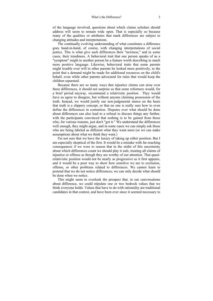of the language involved, questions about which claims scholars should address will seem to remain wide open. That is especially so because many of the qualities or attributes that mark differences are subject to changing attitudes and interpretations.

The continually evolving understanding of what constitutes a difference goes hand-in-hand, of course, with changing interpretations of social justice. This is what give such differences their "newness," and in some cases, their trendiness. A behavioral trait that one person speaks of as a "symptom" might to another person be a feature worth describing in much more positive language. Likewise, behavioral traits that some parents might trouble over will to other parents be looked more positively, to the point that a demand might be made for additional resources on the child's behalf, even while other parents advocated for rules that would keep the children separated.

Because there are so many ways that injustice claims can arise over these differences, it should not surprise us that some reformers would, for a brief period anyway, recommend a relativistic position. They would have us agree to disagree, but without anyone claiming possession of the truth. Instead, we would justify our non-judgmental stance on the basis that truth is a slippery concept, or that no one is really sure how to even define the differences in contention. Disputes over what should be done about differences can also lead to a refusal to discuss things any further, with the participants convinced that nothing is to be gained from those who, for various reasons, just don't "get it." We understand the differences well enough, they might argue, and in some cases we can simply ask those who are being labeled as different what they want most (or we can make assumptions about what we think they want.)

I'm not sure that we have the luxury of taking up either position. But I am especially skeptical of the first. It would be a mistake with far-reaching consequences if we were to reason that in the midst of this uncertainty about which differences count we should play it safe, treating all claims of injustice or offense as though they are worthy of our attention. That quasirelativistic position would not be nearly as progressive as it first appears, and it would be a poor way to show how sensitive we are to exclusion, offense, or other problems related to differences. We cannot learn to pretend that we do not notice differences; we can only decide what should be done when we notice.

This might seem to overlook the prospect that, in our conversations about difference, we could stipulate one or two bedrock values that we think everyone holds. Values that have to do with rationality are traditional candidates in that contest, and have been ever since it seemed necessary to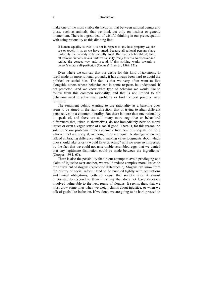#### 4 Introduction

make one of the most visible distinctions, that between rational beings and those, such as animals, that we think act only on instinct or genetic momentum. There is a great deal of wishful thinking in our preoccupation with using rationality as this dividing line:

If human equality is true, it is not in respect to any host property we can see or touch; it is, as we have urged, because all rational persons share uniformly the capacity to be morally good. But that is believable if, first, all rational humans have a uniform capacity freely to strive to discover and realize the correct way and, second, if this striving works towards a person's moral self-perfection (Coons & Brennan, 1999, 121).

Even where we can say that our desire for this kind of taxonomy is itself made on more rational grounds, it has always been hard to avoid the political or social bias. The fact is that we very often want to live alongside others whose behavior can in some respects be understood, if not predicted. And we know what type of behavior we would like to follow from this common rationality, and that is not limited to the behaviors used to solve math problems or find the best price on new furniture.

The sentiment behind wanting to use rationality as a baseline does seem to be aimed in the right direction, that of trying to align different perspectives to a common morality. But there is more than one rationality to speak of, and there are still many more cognitive or behavioral differences that, taken in themselves, do not immediately bear on moral issues or even a vague sense of a social good. There is, for this reason, no solution to our problems in the systematic treatment of unequals, or those who we feel are unequal, as though they are equal. A strategy where we talk of embracing difference without making value judgments about which ones should take priority would have us acting" as if we were so impressed by the fact that we could not unscramble scrambled eggs that we denied that any legitimate distinction could be made between the ingredients" (Cooper, 1981, 65).

There is also the possibility that in our attempt to avoid privileging one claim of injustice over another, we would reduce complex moral issues to the equivalent of slogans ("celebrate difference!"). Slogans, we know from the history of social reform, tend to be bundled tightly with accusations and moral obligations, both so vague that society finds it almost impossible to respond to them in a way that does not leave everyone involved vulnerable to the next round of slogans. It seems, then, that we must draw some lines when we weigh claims about injustice, or when we talk of goals like inclusion. If we don't, we are going to be hard-pressed to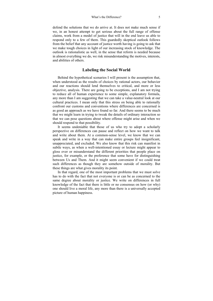defend the solutions that we do arrive at. It does not make much sense if we, in an honest attempt to get serious about the full range of offense claims, work from a model of justice that will in the end leave us able to respond only to a few of them. This guardedly skeptical outlook follows from the belief that any account of justice worth having is going to ask that we make tough choices in light of our increasing stock of knowledge. The outlook is rationalistic as well, in the sense that reform is needed because in almost everything we do, we risk misunderstanding the motives, interests, and abilities of others.

### **Labeling the Social World**

Behind the hypothetical scenarios I will present is the assumption that, when understood as the results of choices by rational actors, our behavior and our reactions should lend themselves to critical, and more or less objective, analysis. There are going to be exceptions, and I am not trying to reduce all of human experience to some simple, explanatory formula, any more than I am suggesting that we can take a value-neutral look at our cultural practices. I mean only that this stress on being able to rationally confront our customs and conventions where differences are concerned is as good an approach as we have found so far. And there seems to be much that we might learn in trying to tweak the details of ordinary interaction so that we can pose questions about where offense might arise and when we should respond to that possibility.

It seems undeniable that those of us who try to adopt a scholarly perspective on differences can pause and reflect on how we want to talk and write about them. At a common-sense level, we know that we can speak and write in a way that can make entire groups feel insignificant, unappreciated, and excluded. We also know that this risk can manifest in subtle ways, as when a well-intentioned essay or lecture might appear to gloss over or misunderstand the different priorities that people place on justice, for example, or the preference that some have for distinguishing between Us and Them. And it might seem convenient if we could treat such differences as though they are somehow outside of morality. But these things are what gives morality its point.

In that regard, one of the most important problems that we must solve has to do with the fact that not everyone is or can be as concerned to the same degree about morality or justice. We write on differences in full knowledge of the fact that there is little or no consensus on how (or why) one should live a moral life, any more than there is a universally accepted picture of human happiness.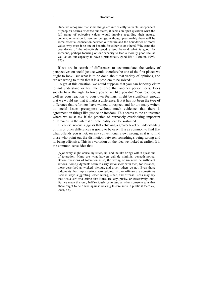#### 6 Introduction

Once we recognize that some things are intrinsically valuable independent of people's desires or conscious states, it seems an open question what the full range of objective values would involve regarding their nature, content, or relation to sentient beings. Although presumably there will be some essential connection between our nature and the boundaries of moral value, why must it be one of benefit, for either us or others? Why can't the boundaries of the objectively good extend beyond what is good for someone, perhaps focusing on our capacity to lead a morally good life, as well as on our capacity to have a prudentially good life? (Temkin, 1993, 273).

If we are in search of differences to accommodate, the variety of perspectives on social justice would therefore be one of the first places we ought to look. But what is to be done about that variety of opinions, and are we wrong to think that it is a problem to be solved?

To get at this question, we could suppose that you can honestly claim to not understand or feel the offense that another person feels. Does society have the right to force you to act like you do? Your reaction, as well as your reaction to your own feelings, might be significant enough that we would say that it marks a difference. But it has not been the type of difference that reformers have wanted to respect, and far too many writers on social issues presuppose without much evidence, that there is agreement on things like justice or freedom. This seems to me an instance where we must ask if the practice of purposely overlooking important differences, in the interest of practicality, can be sustained.

Of course, no one suggests that achieving a greater level of understanding of this or other differences is going to be easy. It is as common to find that what offends you is not, on any conventional view, wrong, as it is to find those who point out the distinction between something's being wrong and its being offensive. This is a variation on the idea we looked at earlier. It is the common-sense idea that:

[N]ot every slight, abuse, injustice, sin, and the like brings with it questions of toleration. Many are what lawyers call de minimis, beneath notice. Before questions of toleration arise, the wrong or sin must be sufficient serious. Some judgments seem to carry seriousness with then, for instance, those described as wicked, vicious, and cruel; others do not. Even those judgments that imply serious wrongdoing, sin, or offense are sometimes used in ways suggesting lesser wrong, since, and offense. Reds may say that it is a 'sin' or a 'crime' that Blues are lazy, pushy, or excessively loud. But we mean this only half seriously or in jest, as when someone says that 'there ought to be a law' against wearing leisure suits in public (Oberdiek, 2001, 62).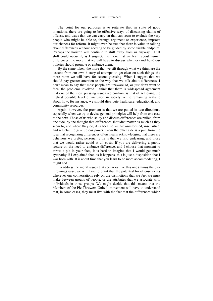The point for our purposes is to reiterate that, in spite of good intentions, there are going to be offensive ways of discussing claims of offense, and ways that we can carry on that can seem to exclude the very people who might be able to, through argument or experience, improve our chances for reform. It might even be true that there is value in talking about differences without needing to be guided by some visible endpoint. Perhaps the horizon will continue to shift away from us anyway. That shift could occur if, as I suspect, the more that we learn about human differences, the more that we will have to discuss whether (and how) our policies should promote or embrace them.

By the same token, the more that we sift through what we think are the lessons from our own history of attempts to get clear on such things, the more room we will have for second-guessing. When I suggest that we should pay greater attention to the way that we talk about differences, I don't mean to say that most people are unaware of, or just don't want to face, the problems involved. I think that there is widespread agreement that one of the most pressing issues we confront is that of achieving the highest possible level of inclusion in society, while remaining realistic about how, for instance, we should distribute healthcare, educational, and community resources.

Again, however, the problem is that we are pulled in two directions, especially when we try to devise general principles will help from one case to the next. Those of us who study and discuss differences are pulled, from one side, by the thought that differences shouldn't matter as much as they seem to, and where they do, it is because we are uninformed, insensitive, and reluctant to give up our power. From the other side is a pull from the idea that recognizing differences often means acknowledging that there are behaviors we prefer, personality traits that we find endearing, and those that we would rather avoid at all costs. If you are delivering a public lecture on the need to embrace difference, and I choose that moment to throw a pie in your face, it is hard to imagine that I would get much sympathy if I explained that, as it happens, this is just a disposition that I was born with. It is about time that you learn to be more accommodating, I might add.

To address the moral issues that scenarios like this one (minus the piethrowing) raise, we will have to grant that the potential for offense exists wherever our conversations rely on the distinctions that we feel we must make between groups of people, or the attributes that we associate with individuals in those groups. We might decide that this means that the Members of the Pie-Throwers United! movement will have to understand that, in some cases, they must live with the fact that the differences which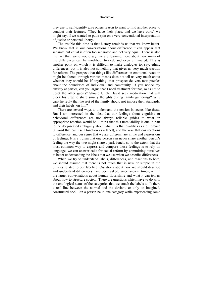they use to self-identify give others reason to want to find another place to conduct their lectures. "They have their place, and we have ours," we might say, if we wanted to put a spin on a very conventional interpretation of justice or personal liberty.

The trouble this time is that history reminds us that we know better. We know that in our conversations about difference it can appear that separate but equal is often too separated and not very equal. There is also the fact that, some would say, we are learning more about how many of the differences can be modified, treated, and even eliminated. This is another point on which it is difficult to make analogies to, say, ethnic differences, but it is also not something that gives us very much traction for reform. The prospect that things like differences in emotional reaction might be altered through various means does not tell us very much about whether they should be. If anything, that prospect delivers new puzzles about the boundaries of individual and community. If you notice my anxiety at parties, can you argue that I need treatment for that, so as not to upset the other guests? Should Uncle David seek medication that will block his urge to share smutty thoughts during family gatherings? Why can't he reply that the rest of the family should not impose their standards, and their labels, on him?

There are several ways to understand the tension in scenes like these. But I am interested in the idea that our feelings about cognitive or behavioral differences are not always reliable guides to what an appropriate reaction would be. I think that this unreliability is due in part to the deep-seated ambiguity about what it is that qualifies as a difference (a word that can itself function as a label), and the way that our reactions to difference, and our sense that we are different, are in the end expressions of feelings. It is a truism that one person can never share another person's feeling the way the two might share a park bench, so to the extent that the most common way to express and compare those feelings is to rely on language, we can answer calls for social reform by committing ourselves to better understanding the labels that we use when we describe differences.

When we try to understand labels, differences, and reactions to both, we should assume that there is not much that is new or simple in the puzzles related to our labeling. Questions about how we should describe and understand differences have been asked, since ancient times, within the larger conversations about human flourishing and what it can tell us about how to structure society. There are questions which have to do with the ontological status of the categories that we attach the labels to. Is there a real line between the normal and the deviant, or only an imagined, constructed one? Can a person be in one category while experiencing some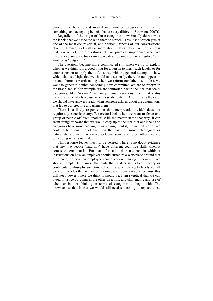emotions or beliefs, and moved into another category while feeling something, and accepting beliefs, that are very different (Strawson, 2007)?

Regardless of the origin of those categories, how broadly do we want the labels that we associate with them to stretch? This last question gets at one of the most controversial, and political, aspects of our conversations about difference, so I will say more about it later. Now I will only stress that new or not, these questions take on practical importance when we need to explain why, for example, we describe one student as "gifted" and another as "outgoing."

The questions become more complicated still when we try to explain whether we think it is a good thing for a person to merit such labels, or for another person to apply them. As is true with the general attempt to show which claims of injustice we should take seriously, there do not appear to be any shortcuts worth taking when we reform our label-use, unless we want to generate doubts concerning how committed we are to reform in the first place. If, for example, we are comfortable with the idea that social categories, like "normal," are only human creations, then that status transfers to the labels we use when describing them. And if that is the case, we should have answers ready when someone asks us about the assumptions that led to our creating and using them.

There is a likely response, on that interpretation, which does not require any esoteric theory. We create labels when we want to fence one group of people off from another. With the matter stated that way, it can seem straightforward that we would cozy-up to the idea that our labels and categories have some backing in, as we might put it, the natural world. We could defend our use of them on the basis of some teleological or naturalistic argument: when we welcome some and reject others we are only doing what is natural.

This response leaves much to be desired. There is no doubt evidence that any two people "naturally" have different cognitive skills when it comes to certain tasks. But that information does not contain within it instructions on how an employer should structure a workplace around that difference, or how an employer should conduct hiring interviews. We should completely dismiss the hints that writers in Critical Theory or continental philosophy sometimes drop, that when we apply labels we fall back on the idea that we are only doing what comes natural because this will keep power where we think it should be. I am skeptical that we can avoid injustice by going in the other direction, and challenging any use of labels or by not thinking in terms of categories to begin with. The drawback to that is that we would still need something to replace those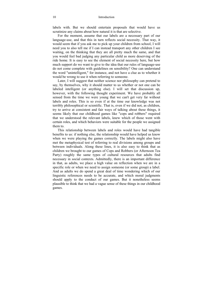labels with. But we should entertain proposals that would have us scrutinize any claims about how natural it is that are selective.

For the moment, assume that our labels are a necessary part of our language-use, and that this in turn reflects social necessity. That way, it would seem that if you ask me to pick up your children from school, I will need you to also tell me if I can instead transport any other children I see waiting, on the thinking that they are all pretty much the same, and that you would feel bad judging any particular child as more deserving of the ride home. It is easy to see the element of social necessity here, but how much support do we want to give to the idea that our rules of language-use do not come complete with guidelines on sensibility? One can understand the word "unintelligent," for instance, and not have a clue as to whether it would be wrong to use it when referring to someone.

Later, I will suggest that neither science nor philosophy can pretend to say, by themselves, why it should matter to us whether or not one can be labeled intelligent (or anything else). I will set that discussion up, however, with the following thought experiment. We have probably all sensed from the time we were young that we can't get very far without labels and roles. This is so even if at the time our knowledge was not terribly philosophical or scientific. That is, even if we did not, as children, try to arrive at consistent and fair ways of talking about these things, it seems likely that our childhood games like "cops and robbers" required that we understood the relevant labels, knew which of those went with certain roles, and which behaviors were suitable for the people we assigned them to.

This relationship between labels and roles would have had tangible benefits to us: if nothing else, the relationship would have helped us know when we were playing the games correctly. The labels might also have met the metaphysical test of referring to real divisions among groups and between individuals. Along these lines, it is also easy to think that as children we brought to our games of Cops and Robbers (or Afternoon Tea Party) roughly the same types of cultural resources that adults find necessary in social contexts. Admittedly, there is an important difference in that, as adults, we place a high value on reflection when we are in a specific role or when we need to assign someone (or some group) a label. And as adults we do spend a great deal of time wondering which of our linguistic references needs to be accurate, and which moral judgments should apply to the conduct of our games. But it nonetheless seems plausible to think that we had a vague sense of these things in our childhood games.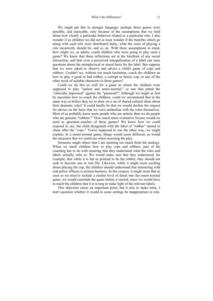We might put this in stronger language: perhaps those games were possible, and enjoyable, only because of the assumptions that we held about how clearly a particular behavior related to a particular role. I also wonder if as children we did not at least wonder if the benefits which go along with each role were distributed fairly, what the costs of playing a role incorrectly should be, and so on. With these assumptions in mind, how might we, as adults, coach children who were going to play such a game? We know that these reflections are at the forefront of any social interaction, and that even a perceived misapplication of a label can raise questions about the metaphysical or moral basis for the label. But suppose that we were asked to observe and advise a child's game of cops and robbers. Couldn't we, without too much hesitation, coach the children on how to play a good or bad robber, a corrupt or heroic cop, or any of the other stock of suitable characters in these games?

Could we do this as well for a game in which the children were supposed to play "autism and neuro-normal," or one that pitted the "clinically depressed" against the "paranoid"? Although we might at first be uncertain how to coach the children, could we recommend that in the same way as before they try to draw on a set of shared cultural ideas about their dramatic roles? It could hardly be that we would decline the request for advice on the basis that we were unfamiliar with the roles themselves. Most of us probably know more people who are autistic than we do people who are genuine "robbers."<sup>1</sup> How much more evaluative license would we need as spectator-coaches of these games? We know how we could respond if, say, the child designated with the label of "robber" started to chase after the "cops." You're supposed to run the other way, we might explain. In a neuro-normal game, things would seem different, as would the measures that we could use when assessing the play.

Someone might object that I am omitting too much from the analogy. When we teach children how to play cops and robbers, part of the coaching has to do with ensuring that they understand what the roles and labels actually refer to. We would make sure that they understood, for example, that while it is fun to pretend to be the robber, they should not seek to become one in real life. Likewise, while it might seem exciting about playing the cop, the children should understand that interacting with real police officers is serious business. In this respect, it might seem that as soon as we tried to include a similar level of detail into the neuro-normal game, we would conclude the game before it started, since we would have to teach the children that it is wrong to make light of the relevant labels.

This objection raises an important point, but it also to make mine. I don't question whether it would in some settings be inappropriate to role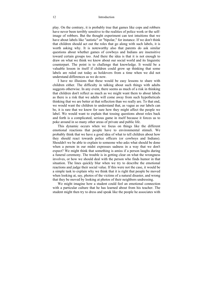play. On the contrary, it is probably true that games like cops and robbers have never been terribly sensitive to the realities of police work or the selfimage of robbers. But the thought experiment can test intuitions that we have about labels like "autistic" or "bipolar," for instance. If we don't think that children should act out the roles that go along with such labels, it is worth asking why. It is noteworthy also that parents do ask similar questions about whether games of cowboys and Indians are insensitive toward certain groups too. And there the idea is that it is not enough to draw on what we think we know about our social world and its linguistic counterpart. The point is to challenge that knowledge. It would be a valuable lesson in itself if children could grow up thinking that some labels are ruled out today as holdovers from a time when we did not understand differences as we do now.

I have no illusions that these would be easy lessons to share with children either. The difficulty in talking about such things with adults suggests otherwise. In any event, there seems as much of a risk in thinking that children don't reflect as much as we might want them to about labels as there is a risk that we adults will come away from such hypotheticals thinking that we are better at that reflection than we really are. To that end, we would want the children to understand that, as vague as our labels can be, it is rare that we know for sure how they might affect the people we label. We would want to explain that tossing questions about roles back and forth is a complicated, serious game in itself because it forces us to poke around in so many other areas of private and public life.

This dynamic occurs when we focus on things like the different emotional reactions that people have to environmental stimuli. We probably think that we have a good idea of what to tell children about how they should react towards police officers (or cowboys and Indians). Shouldn't we be able to explain to someone who asks what should be done when a person in our midst expresses sadness in a way that we don't expect? We might think that something is amiss if a person laughs during a funeral ceremony. The trouble is in getting clear on what the wrongness involves, or how we should deal with the person who finds humor in that situation. The lines quickly blur when we try to describe the emotional reactions and judge their social value. If this were not the case, it would be a simple task to explain why we think that it is right that people be moved when looking at, say, photos of the victims of a natural disaster, and wrong that they be moved by looking at photos of their neighbors undressing.

We might imagine how a student could feel an emotional connection with a particular culture that he has learned about from his teacher. The student might then try to dress and speak like the people he associates with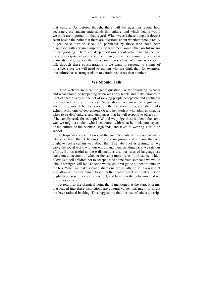that culture. As before, though, there will be questions about how accurately the student understands this culture, and which details would we think are important in that regard. When we ask these things, it doesn't seem beside the point that there are questions about whether there is really a genuine culture to speak of, populated by those who have been diagnosed with certain symptoms, or who meet some other useful means of categorizing. There are deep questions about what must happen to transform a group of people into a culture, or even a community, and what demands that group can then make on the rest of us. We must as a society talk through these considerations if we want to respond to claims of injustice, since we will need to explain why we think that, for example, one culture has a stronger claim to certain resources than another.

### **We Should Talk**

These sketches are meant to get at question like the following. What is and what should be happening when we apply labels and make choices in light of them? Why is one act of ranking people acceptable and another is exclusionary or discriminatory? What should we make of a girl who attempts to model her behavior on the behavior of people she thinks exhibit symptoms of depression? Or another student who admires what he takes to be deaf culture, and announces that he will respond to others only if he can lip-read, for example? Would we judge these students the same way we might a student who is enamored with what he thinks are aspects of the culture of the Scottish Highlands, and takes to wearing a "kilt" to school?

Such questions seem to reveal the two elements at the core of many labels: a claim that X belongs in a certain group, and a claim that one ought to feel a certain way about that. The labels let us distinguish: we carve the social world with our words, and then, standing back, we rate our efforts. But as useful as these distinctions are, our rules of language use leave out an account of whether the same moral rules, for instance, which allow us to tell children not to accept a ride home from someone we would label a stranger, will let us decide whose children get to sit next to ours on the bus. When we make social distinctions, we usually do so in a way that will allow us to discriminate based on the qualities that we think a person ought to possess in a specific context, and based on the behaviors that we ourselves value in it.

To return to the skeptical point that I mentioned at the start, it seems that loaded into these distinctions are cultural values that might or might not have rational backing. This suggestion, that our use of labels outstrips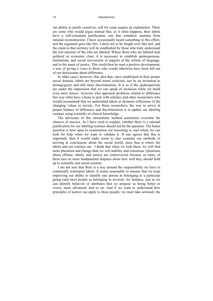#### 14 Introduction

our ability to justify ourselves, will for some require an explanation. There are some who would argue instead that, as it often happens, their labels have a self-contained justification, one that somehow immune from rational reconstruction. I have occasionally heard something to this effect, and the argument goes like this. Labels are to be fought over like turf, and the claim to that territory will be established by those who truly understand the real interests of the who are labeled. Where those who are labeled lack political or economic clout, it is necessary to establish spokespersons, institutions, and social movements in support of the reform of language, and in the name of justice. This could then be seen a positive development, a way of giving a voice to those who would otherwise have been left out of our discussions about difference.

In other cases, however, this idea that, once established in their proper social domain, labels are beyond moral criticism, can be an invitation to demagoguery and still more discrimination. It is as if the spokespersons are under the impression that we can speak of inclusion while we build even more fences. Activists who approach problems related to difference this way often have a bone to pick with scholars and other researchers who would recommend that we understand labels as dynamic reflections of the changing values in society. For those researchers, the way to arrive at proper balance of difference and discrimination is to update our labeling routines using scientific or clinical knowledge.

The advocates of this rationalistic method sometimes overstate the chances of success. As I have tried to explain, whether there is a rational justification for our labeling routines should not be the question. The better question is how open to examination our reasoning is, and where we can look for help when we want to validate it. If one agrees that this is important, then it would make sense to also examine our methods of arriving at conclusions about the social world, since that is where the labels and our routines are. I think that when we look there, we will find more pluralism and change than we will stability and consensus. Questions about offense, labels, and justice are controversial because so many of them turn on more fundamental disputes about how well they should hold up to scientific and moral scrutiny.

I am not sure that there is a way around the responsibility we have to continually reinterpret labels. It seems reasonable to assume that we keep improving our ability to identify one person as belonging to a particular group (and most people as belonging to several), for instance, just as we can identify behavior or attributes that we propose as being better or worse, more advanced, and so on. And if we want to understand how principles of justice can apply to those people, we must take seriously the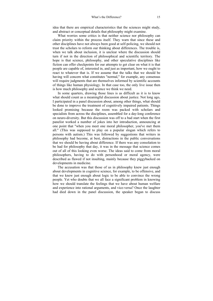idea that there are empirical characteristics that the sciences might study, and abstract or conceptual details that philosophy might examine.

What worries some critics is that neither science nor philosophy can claim priority within the process itself. They warn that since these and other disciplines have not always been good at self-policing, we should not trust the scholars to reform our thinking about differences. The trouble is, when we talk about inclusion, it is unclear where the discussion should turn if not in the direction of philosophical and scientific territory. The hope is that science, philosophy, and other speculative disciplines like fiction can offer checkpoints for our attempts to get clear on what it is that people are capable of, interested in, and just as important, how we ought to react to whatever that is. If we assume that the talks that we should be having will concern what constitutes "normal," for example, any consensus will require judgments that are themselves informed by scientific accounts of things like human physiology. In that case too, the only live issue then is how much philosophy and science we think we need.

In some quarters, drawing those lines is as difficult as it is to know what should count as a meaningful discussion about justice. Not long ago, I participated in a panel discussion about, among other things, what should be done to improve the treatment of cognitively impaired patients. Things looked promising because the room was packed with scholars and specialists from across the disciplines, assembled for a day-long conference on neuro-diversity. But this discussion was off to a bad start when the first panelist worked a number of jokes into her introduction, announcing at one point that "when you meet one moral philosopher, you've met them all." (This was supposed to play on a popular slogan which refers to persons with autism.) This was followed by suggestions that writers in philosophy had become, at best, distractions in the public conversations that we should be having about difference. If there was any consolation to be had for philosophy that day, it was in the message that science comes out of all of this looking even worse. The ideas said to come from moral philosophers, having to do with personhood or moral agency, were described as flawed if not insulting, mainly because they piggybacked on developments in medicine.

The accusation was that those of us in philosophy knew just enough about developments in cognitive science, for example, to be offensive, and that we knew just enough about logic to be able to convince the wrong people. Yet who doubts that we all face a significant problem in knowing how we should translate the feelings that we have about human welfare and experience into rational arguments, and vice-versa? Once the laughter had died down in the panel discussion, the speaker began to discuss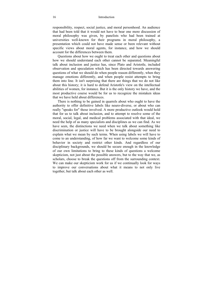#### 16 Introduction

responsibility, respect, social justice, and moral personhood. An audience that had been told that it would not have to bear one more discussion of moral philosophy was given, by panelists who had been trained at universities well-known for their programs in moral philosophy, a presentation which could not have made sense or been relevant without specific views about moral agents, for instance, and how we should account for the differences between them.

Questions about how we ought to treat each other and questions about how we should understand each other cannot be separated. Meaningful talk about inclusion and justice has, since Plato and Aristotle, included observation and speculation which has been directed towards answering questions of what we should do when people reason differently, when they manage emotions differently, and when people resist attempts to bring them into line. It isn't surprising that there are things that we do not like about this history; it is hard to defend Aristotle's view on the intellectual abilities of women, for instance. But it is the only history we have, and the most productive course would be for us to recognize the mistaken ideas that we have held about differences.

There is nothing to be gained in quarrels about who ought to have the authority to offer definitive labels like neuro-diverse, or about who can really "speaks for" those involved. A more productive outlook would hold that for us to talk about inclusion, and to attempt to resolve some of the moral, social, legal, and medical problems associated with that ideal, we need the help of as many specialists and disciplines as we can find. As we have seen, the distinctions we need when we talk about something like discrimination or justice will have to be brought alongside our need to explain what we mean by such terms. When using labels we will have to come to an understanding, of how far we want to welcome some kinds of behavior in society and restrict other kinds. And regardless of our disciplinary backgrounds, we should be secure enough in the knowledge of our own limitations to bring to these kinds of questions a welcome skepticism, not just about the possible answers, but to the way that we, as scholars, choose to break the questions off from the surrounding context. We can make our skepticism work for us if we continually look for ways to improve our conversations about what it means to not only live together, but talk about each other as well.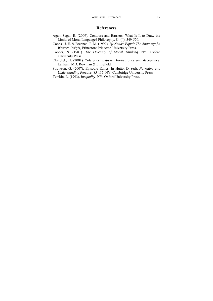## **References**

- Agam-Segal, R. (2009). Contours and Barriers: What Is It to Draw the Limits of Moral Language? Philosophy, 84 (4), 549-570.
- Coons , J. E. & Brennan, P. M. (1999). *By Nature Equal: The Anatomyof a Western Insight*, Princeton: Princeton University Press.
- Cooper, N. (1981). *The Diversity of Moral Thinking*. NY: Oxford University Press.
- Oberdiek, H. (2001). *Tolerance: Between Forbearance and Acceptance*. Lanham, MD: Rowman & Littlefield.
- Strawson, G. (2007). Episodic Ethics. In Hutto, D. (ed), *Narrative and Understanding Persons*, 85-115. NY: Cambridge University Press.
- Temkin, L. (1993). *Inequality*. NY: Oxford University Press.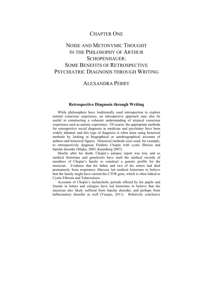# CHAPTER ONE

# NOISE AND METONYMIC THOUGHT IN THE PHILOSOPHY OF ARTHUR SCHOPENHAUER: SOME BENEFITS OF RETROSPECTIVE PSYCHIATRIC DIAGNOSIS THROUGH WRITING

# ALEXANDRA PERRY

### **Retrospective Diagnosis through Writing**

While philosophers have traditionally used introspection to explore normal conscious experience, an introspective approach may also be useful in constructing a coherent understanding of atypical conscious experience such as autistic experience. Of course, the appropriate methods for retrospective social diagnosis in medicine and psychiatry have been widely debated, and this type of diagnosis is often done using historical methods by looking at biographical or autobiographical accounts of authors and historical figures. Historical methods were used, for example, to retrospectively diagnose Frédéric Chopin with cystic fibrosis and bipolar disorder (Majka, 2003; Karenberg 2007).

Shortly after his death, Chopin's autopsy report was lost, and so medical historians and geneticists have used the medical records of members of Chopin's family to construct a genetic profile for the musician. Evidence that his father and two of his sisters had died prematurely from respiratory illnesses led medical historians to believe that the family might have carried the CTFR gene, which is often linked to Cystic Fibrosis and Tuberculosis.

Accounts of Chopin's melancholic periods offered by his pupils and friends in letters and eulogies have led historians to believe that the musician also likely suffered from bipolar disorder, and perhaps from hallucinatory disorder as well (Vasquz, 2011). Relatively conclusive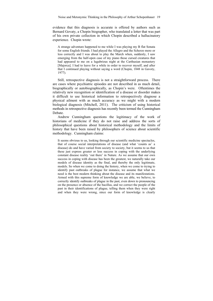evidence that this diagnosis is accurate is offered by authors such as Bernard Govaty, a Chopin biographer, who translated a letter that was part of his own private collection in which Chopin described a hallucinatory experience. Chopin wrote:

A strange adventure happened to me while I was playing my B flat Sonata for some English friends. I had played the Allegro and the Scherzo more or less correctly and I was about to play the March when, suddenly, I saw emerging from the half-open case of my piano those cursed creatures that had appeared to me on a lugubrious night at the Carthusian monastery [Majorca]. I had to leave for a while in order to recover myself, and after that I continued playing without saying a word (Chopin, 1848 in Gavoty, 1977).

Still, retrospective diagnosis is not a straightforward process. There are cases where psychiatric episodes are not described in as much detail. biographically or autobiographically, as Chopin's were. Oftentimes the relatively new recognition or identification of a disease or disorder makes it difficult to use historical information to retrospectively diagnose a physical ailment with as much accuracy as we might with a modern biological diagnosis (Mitchell, 2011). The criticism of using historical methods in retrospective diagnosis has recently been termed the Cunningham Debate.

Andrew Cunningham questions the legitimacy of the work of historians of medicine if they do not raise and address the sorts of philosophical questions about historical methodology and the limits of history that have been raised by philosophers of science about scientific methodology. Cunningham claims:

It seems obvious to us, looking through our scientific medicine spectacles, that of course social interpretations of disease (and what 'counts as' a disease) do and have varied from society to society, but it seems to us that these just express greater or less success in coping with the underlying constant disease reality 'out there' in Nature. As we assume that our own success in coping with disease has been the greatest, we naturally take our models of disease identity as the final, and thereby the only legitimate, models. So when we come to doing the history, when we come to trying to identify past outbreaks of plague for instance, we assume that what we need is the best modern thinking about the disease and its manifestations. Armed with this supreme form of knowledge we are able, we believe, to correctly identify outbreaks of plague in the past, even down to pronouncing on the presence or absence of the bacillus, and we correct the people of the past in their identifications of plague, telling them when they were right and when they were wrong, since our form of knowledge is clearly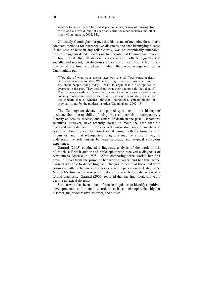superior to theirs. Yet in fact this is just our society's way of thinking: true for us and our world, but not necessarily true for other societies and other times. (Cunningham, 2002, 14).

Ultimately Cunningham argues that historians of medicine do not have adequate methods for retrospective diagnosis and that identifying disease in the past, at least in any reliable way, was philosophically untenable. The Cunningham debate centers on two points that Cunningham takes to be true. First, that all disease is experienced both biologically and socially, and second, that diagnoses and causes of death had no legitimacy outside of the time and place in which they were recognized, or, as Cunningham put it:

[Y]ou die of what your doctor says you die of. Your cause-of-death certificate is not negotiable. While this might seem a reasonable thing to say about people dying today, I want to argue that it also applies to everyone in the past. They died from what their doctors said they died of. Their cause-of-death certificates (as it were, for of course such certificates are very modern and very western) are equally not negotiable, neither by the modern medic, whether clinician, pathologist, epidemiologist or psychiatrist, nor by the modern historian (Cunningham, 2002, 18).

The Cunningham debate has sparked questions in the history of medicine about the reliability of using historical methods to retrospectively identify epidemics, disease, and causes of death in the past. Behavioral scientists, however, have recently started to make the case that the historical methods used to retrospectively make diagnoses of mental and cognitive disability can be corroborated using methods from forensic linguistics, and that retrospective diagnosis may be a useful way to understand the relationship between language and atypical conscious experience.

Garrard (2005) conducted a linguistic analysis of the work of Iris Murdoch, a British author and philosopher who received a diagnosis of Alzheimer's Disease in 1995. After comparing three works: her first novel, a novel from the prime of her writing career, and her final work, Garrard was able to detect linguistic changes in her final book that were consistent with the linguistic changes expected in patients with Alzheimer's. Murdoch's final work was published over a year before she received a formal diagnosis. Garrard (2005) reported that her final work showed a decline in lexical diversity.

Similar work has been done in forensic linguistics to identify cognitive, developmental, and mental disorders such as schizophrenia, bipolar disorder, major depressive disorder, and autism.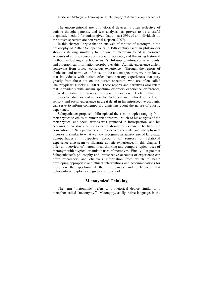The unconventional use of rhetorical devices is often reflective of autistic thought patterns, and text analysis has proven to be a useful diagnostic method for autism given that at least 39% of all individuals on the autism spectrum are non-verbal (Jepson, 2007).

In this chapter I argue that an analysis of the use of metonym in the philosophy of Arthur Schopenhauer, a 19th century German philosopher shows a striking similarity to the use of metonym found in narrative accounts of autistic sensory and social experience, and that using historical methods in looking at Schopenhauer's philosophy, introspective accounts, and biographical information corroborates this. Autistic experience differs somewhat from typical conscious experience. Through the reports of clinicians and narratives of those on the autism spectrum, we now know that individuals with autism often have sensory experiences that vary greatly from those not on the autism spectrum, who are often called "neurotypical" (Hacking, 2009). These reports and narratives also relate that individuals with autism spectrum disorders experience differences, often debilitating differences, in social interaction. I claim that the retrospective diagnosis of authors like Schopenhauer, who described both sensory and social experience in great detail in his introspective accounts, can serve to inform contemporary clinicians about the nature of autistic experience.

Schopenhauer proposed philosophical theories on topics ranging from metaphysics to ethics to human relationships. Much of his analysis of the metaphysical and social worlds was grounded in introspection, and his accounts often struck critics as being strange or extreme. The linguistic convention in Schopenhauer's introspective accounts and metaphysical theories is similar to what we now recognize as autistic use of language. Schopenhauer's introspective accounts of sensory or relational experience also seem to illustrate autistic experience. In this chapter I offer an overview of metonymical thinking and compare typical uses of metonym with atypical or autistic uses of metonym. Finally, I argue that Schopenhauer's philosophy and introspective accounts of experience can offer researchers and clinicians information from which to begin developing appropriate and ethical interventions and accommodations for those on the spectrum if the disturbances and differences that Schopenhauer explores are given a serious look.

### **Metonymical Thinking**

The term "metonymic" refers to a rhetorical device similar to a metaphor called "metonymy." Metonymy, as figurative language, is the